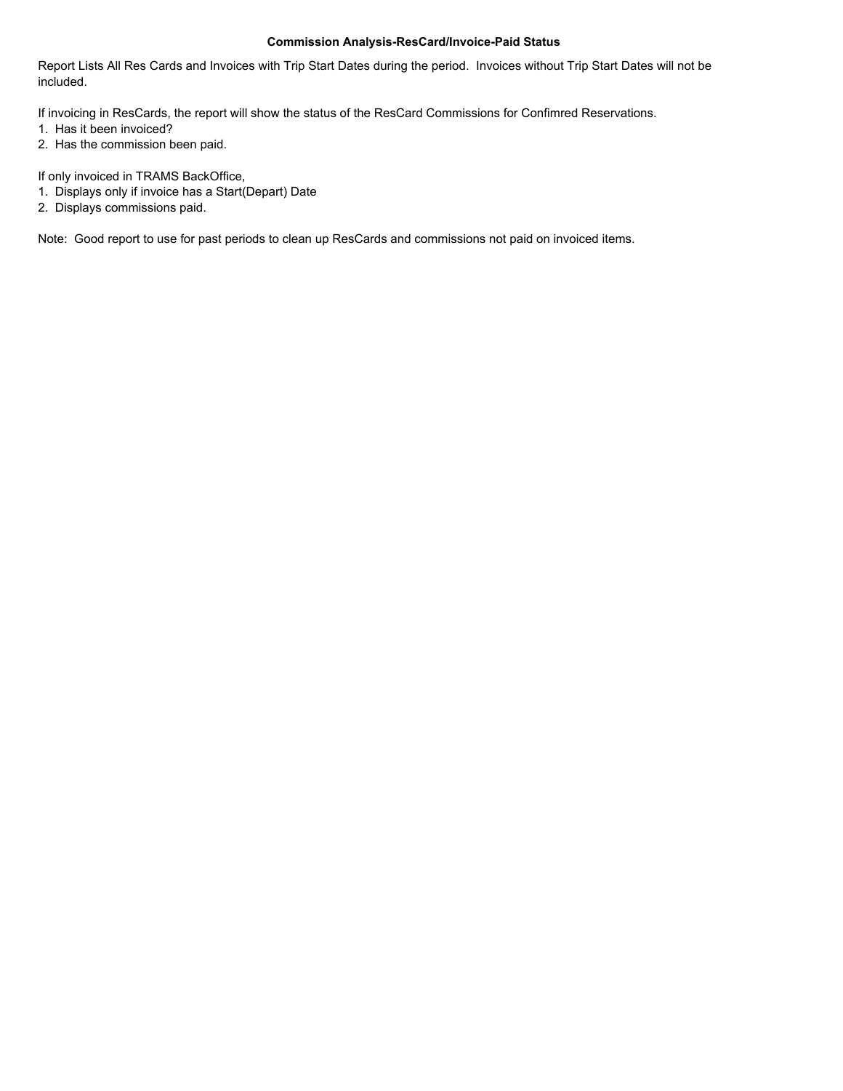Report Lists All Res Cards and Invoices with Trip Start Dates during the period. Invoices without Trip Start Dates will not be included.

If invoicing in ResCards, the report will show the status of the ResCard Commissions for Confimred Reservations.

- 1. Has it been invoiced?
- 2. Has the commission been paid.

If only invoiced in TRAMS BackOffice,

- 1. Displays only if invoice has a Start(Depart) Date
- 2. Displays commissions paid.

Note: Good report to use for past periods to clean up ResCards and commissions not paid on invoiced items.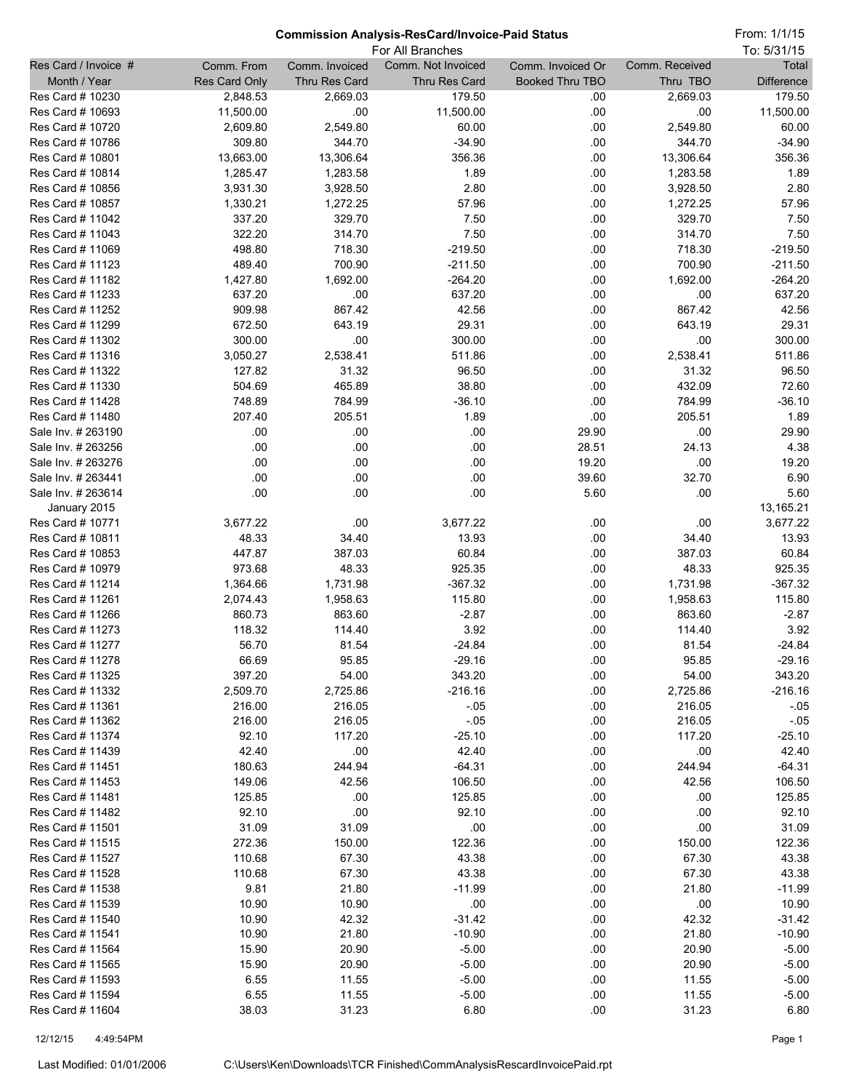From: 1/1/15

|                                          | For All Branches     |                       |                     |                        |                       | To: 5/31/15         |
|------------------------------------------|----------------------|-----------------------|---------------------|------------------------|-----------------------|---------------------|
| Res Card / Invoice #                     | Comm. From           | Comm. Invoiced        | Comm. Not Invoiced  | Comm. Invoiced Or      | Comm. Received        | Total               |
| Month / Year                             | <b>Res Card Only</b> | Thru Res Card         | Thru Res Card       | <b>Booked Thru TBO</b> | Thru TBO              | <b>Difference</b>   |
| Res Card # 10230                         | 2,848.53             | 2,669.03              | 179.50              | .00                    | 2,669.03              | 179.50              |
| Res Card # 10693                         | 11,500.00            | .00                   | 11,500.00           | .00                    | .00                   | 11,500.00           |
| Res Card # 10720                         | 2,609.80             | 2,549.80              | 60.00               | .00                    | 2,549.80              | 60.00               |
| Res Card # 10786<br>Res Card # 10801     | 309.80<br>13,663.00  | 344.70                | $-34.90$<br>356.36  | .00<br>.00             | 344.70                | $-34.90$<br>356.36  |
| Res Card # 10814                         | 1,285.47             | 13,306.64<br>1,283.58 | 1.89                | .00                    | 13,306.64<br>1,283.58 | 1.89                |
| Res Card # 10856                         | 3,931.30             | 3,928.50              | 2.80                | .00                    | 3,928.50              | 2.80                |
| Res Card # 10857                         | 1,330.21             | 1,272.25              | 57.96               | .00                    | 1,272.25              | 57.96               |
| Res Card # 11042                         | 337.20               | 329.70                | 7.50                | .00                    | 329.70                | 7.50                |
| Res Card # 11043                         | 322.20               | 314.70                | 7.50                | .00                    | 314.70                | 7.50                |
| Res Card # 11069                         | 498.80               | 718.30                | $-219.50$           | .00                    | 718.30                | $-219.50$           |
| Res Card # 11123                         | 489.40               | 700.90                | $-211.50$           | .00                    | 700.90                | $-211.50$           |
| Res Card # 11182                         | 1,427.80             | 1,692.00              | $-264.20$           | .00                    | 1,692.00              | $-264.20$           |
| Res Card # 11233                         | 637.20               | .00                   | 637.20              | .00                    | .00                   | 637.20              |
| Res Card # 11252                         | 909.98               | 867.42                | 42.56               | .00                    | 867.42                | 42.56               |
| Res Card # 11299                         | 672.50               | 643.19                | 29.31               | .00                    | 643.19                | 29.31               |
| Res Card # 11302                         | 300.00               | .00                   | 300.00              | .00                    | .00                   | 300.00              |
| Res Card # 11316                         | 3,050.27             | 2,538.41              | 511.86              | .00                    | 2,538.41              | 511.86              |
| Res Card # 11322                         | 127.82               | 31.32                 | 96.50               | .00                    | 31.32                 | 96.50               |
| Res Card # 11330                         | 504.69               | 465.89                | 38.80               | .00                    | 432.09                | 72.60               |
| Res Card # 11428                         | 748.89               | 784.99                | $-36.10$            | .00                    | 784.99                | $-36.10$            |
| Res Card # 11480                         | 207.40               | 205.51                | 1.89                | .00                    | 205.51                | 1.89                |
| Sale Inv. # 263190                       | .00                  | .00                   | .00                 | 29.90                  | .00                   | 29.90               |
| Sale Inv. # 263256<br>Sale Inv. # 263276 | .00<br>.00           | .00<br>.00            | .00<br>.00          | 28.51<br>19.20         | 24.13<br>.00          | 4.38<br>19.20       |
| Sale Inv. # 263441                       | .00                  | .00                   | .00                 | 39.60                  | 32.70                 | 6.90                |
| Sale Inv. # 263614                       | .00                  | .00                   | .00                 | 5.60                   | .00                   | 5.60                |
| January 2015                             |                      |                       |                     |                        |                       | 13,165.21           |
| Res Card # 10771                         | 3,677.22             | .00                   | 3,677.22            | .00                    | .00                   | 3,677.22            |
| Res Card # 10811                         | 48.33                | 34.40                 | 13.93               | .00                    | 34.40                 | 13.93               |
| Res Card # 10853                         | 447.87               | 387.03                | 60.84               | .00                    | 387.03                | 60.84               |
| Res Card # 10979                         | 973.68               | 48.33                 | 925.35              | .00                    | 48.33                 | 925.35              |
| Res Card # 11214                         | 1,364.66             | 1,731.98              | $-367.32$           | .00                    | 1,731.98              | $-367.32$           |
| Res Card # 11261                         | 2,074.43             | 1,958.63              | 115.80              | .00                    | 1,958.63              | 115.80              |
| Res Card # 11266                         | 860.73               | 863.60                | $-2.87$             | .00                    | 863.60                | $-2.87$             |
| Res Card # 11273                         | 118.32               | 114.40                | 3.92                | .00                    | 114.40                | 3.92                |
| Res Card # 11277                         | 56.70                | 81.54                 | $-24.84$            | .00                    | 81.54                 | $-24.84$            |
| Res Card # 11278                         | 66.69                | 95.85                 | $-29.16$            | .00                    | 95.85                 | $-29.16$            |
| Res Card # 11325                         | 397.20               | 54.00                 | 343.20              | .00                    | 54.00                 | 343.20              |
| Res Card # 11332                         | 2,509.70             | 2,725.86              | $-216.16$           | .00                    | 2,725.86              | $-216.16$           |
| Res Card # 11361                         | 216.00               | 216.05                | $-0.05$             | .00                    | 216.05                | $-0.05$             |
| Res Card # 11362<br>Res Card # 11374     | 216.00<br>92.10      | 216.05<br>117.20      | $-0.05$<br>$-25.10$ | .00<br>.00             | 216.05<br>117.20      | $-0.05$<br>$-25.10$ |
| Res Card # 11439                         | 42.40                | .00                   | 42.40               | .00                    | .00                   | 42.40               |
| Res Card # 11451                         | 180.63               | 244.94                | $-64.31$            | .00                    | 244.94                | $-64.31$            |
| Res Card # 11453                         | 149.06               | 42.56                 | 106.50              | .00                    | 42.56                 | 106.50              |
| Res Card # 11481                         | 125.85               | .00                   | 125.85              | .00                    | .00                   | 125.85              |
| Res Card # 11482                         | 92.10                | .00                   | 92.10               | .00                    | .00                   | 92.10               |
| Res Card # 11501                         | 31.09                | 31.09                 | .00                 | .00                    | .00                   | 31.09               |
| Res Card # 11515                         | 272.36               | 150.00                | 122.36              | .00                    | 150.00                | 122.36              |
| Res Card # 11527                         | 110.68               | 67.30                 | 43.38               | .00                    | 67.30                 | 43.38               |
| Res Card # 11528                         | 110.68               | 67.30                 | 43.38               | .00                    | 67.30                 | 43.38               |
| Res Card # 11538                         | 9.81                 | 21.80                 | $-11.99$            | .00                    | 21.80                 | $-11.99$            |
| Res Card # 11539                         | 10.90                | 10.90                 | .00                 | .00                    | .00                   | 10.90               |
| Res Card # 11540                         | 10.90                | 42.32                 | $-31.42$            | .00                    | 42.32                 | $-31.42$            |
| Res Card # 11541                         | 10.90                | 21.80                 | $-10.90$            | .00                    | 21.80                 | $-10.90$            |
| Res Card # 11564                         | 15.90                | 20.90                 | $-5.00$             | .00                    | 20.90                 | $-5.00$             |
| Res Card # 11565                         | 15.90                | 20.90                 | $-5.00$             | .00                    | 20.90                 | $-5.00$             |
| Res Card # 11593<br>Res Card # 11594     | 6.55                 | 11.55                 | $-5.00$             | .00                    | 11.55                 | $-5.00$             |
| Res Card # 11604                         | 6.55<br>38.03        | 11.55                 | $-5.00$<br>6.80     | .00<br>.00             | 11.55                 | $-5.00$<br>6.80     |
|                                          |                      | 31.23                 |                     |                        | 31.23                 |                     |

12/12/15 4:49:54PM Page 1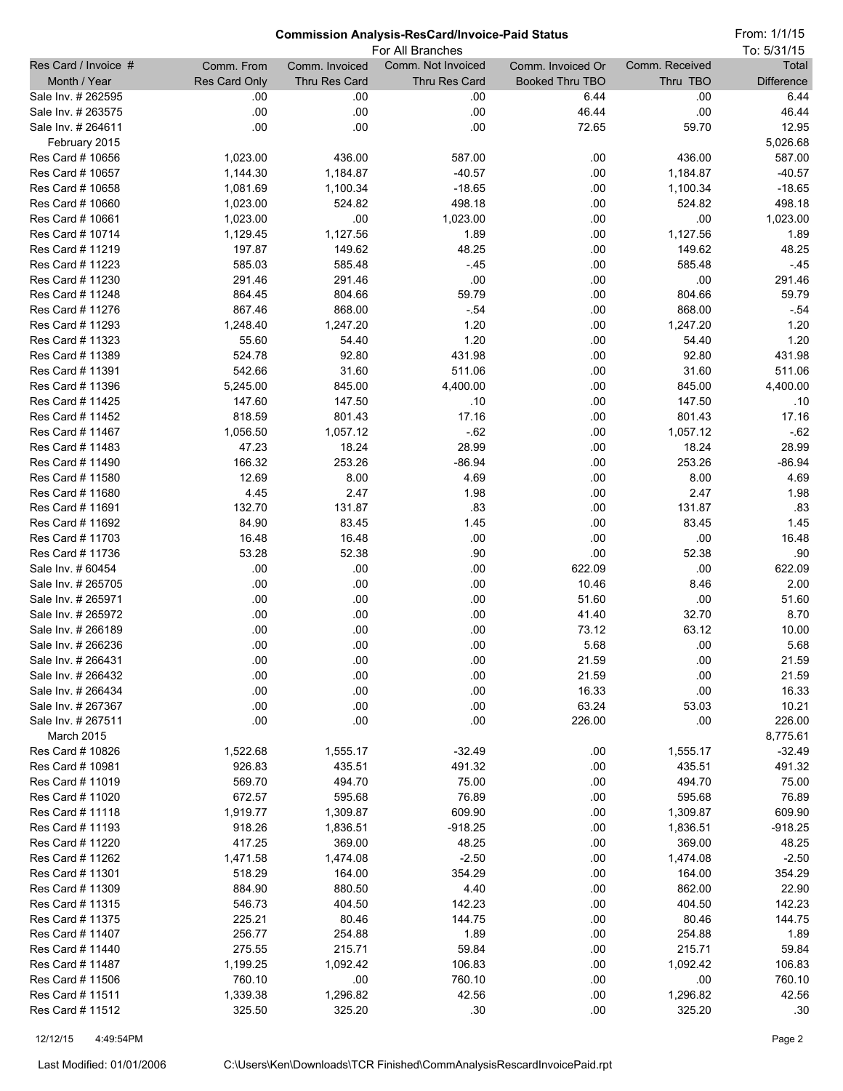From: 1/1/15

| For All Branches                         |                  |                  |                    |                   | To: 5/31/15    |                   |
|------------------------------------------|------------------|------------------|--------------------|-------------------|----------------|-------------------|
| Res Card / Invoice #                     | Comm. From       | Comm. Invoiced   | Comm. Not Invoiced | Comm. Invoiced Or | Comm. Received | Total             |
| Month / Year                             | Res Card Only    | Thru Res Card    | Thru Res Card      | Booked Thru TBO   | Thru TBO       | <b>Difference</b> |
| Sale Inv. # 262595                       | .00              | .00              | .00                | 6.44              | .00            | 6.44              |
| Sale Inv. # 263575                       | .00              | .00              | .00                | 46.44             | .00            | 46.44             |
| Sale Inv. # 264611                       | .00              | .00              | .00                | 72.65             | 59.70          | 12.95             |
| February 2015                            |                  |                  |                    |                   |                | 5,026.68          |
| Res Card # 10656                         | 1,023.00         | 436.00           | 587.00             | .00               | 436.00         | 587.00            |
| Res Card # 10657                         | 1,144.30         | 1,184.87         | $-40.57$           | .00               | 1,184.87       | $-40.57$          |
| Res Card # 10658                         | 1,081.69         | 1,100.34         | $-18.65$           | .00               | 1,100.34       | $-18.65$          |
| Res Card # 10660                         | 1,023.00         | 524.82           | 498.18             | .00               | 524.82         | 498.18            |
| Res Card # 10661                         | 1,023.00         | .00              | 1,023.00           | .00               | .00            | 1,023.00          |
| Res Card # 10714                         | 1,129.45         | 1,127.56         | 1.89               | .00               | 1,127.56       | 1.89              |
| Res Card # 11219                         | 197.87           | 149.62           | 48.25              | .00               | 149.62         | 48.25             |
| Res Card # 11223                         | 585.03           | 585.48           | $-45$              | .00               | 585.48         | $-45$             |
| Res Card # 11230<br>Res Card # 11248     | 291.46<br>864.45 | 291.46<br>804.66 | .00<br>59.79       | .00<br>.00        | .00<br>804.66  | 291.46<br>59.79   |
| Res Card # 11276                         | 867.46           | 868.00           | $-54$              | .00               | 868.00         | $-0.54$           |
| Res Card # 11293                         | 1,248.40         | 1,247.20         | 1.20               | .00               | 1,247.20       | 1.20              |
| Res Card # 11323                         | 55.60            | 54.40            | 1.20               | .00               | 54.40          | 1.20              |
| Res Card # 11389                         | 524.78           | 92.80            | 431.98             | .00               | 92.80          | 431.98            |
| Res Card # 11391                         | 542.66           | 31.60            | 511.06             | .00               | 31.60          | 511.06            |
| Res Card # 11396                         | 5,245.00         | 845.00           | 4,400.00           | .00               | 845.00         | 4,400.00          |
| Res Card # 11425                         | 147.60           | 147.50           | .10                | .00               | 147.50         | .10               |
| Res Card # 11452                         | 818.59           | 801.43           | 17.16              | .00               | 801.43         | 17.16             |
| Res Card # 11467                         | 1,056.50         | 1,057.12         | $-62$              | .00               | 1,057.12       | $-62$             |
| Res Card # 11483                         | 47.23            | 18.24            | 28.99              | .00               | 18.24          | 28.99             |
| Res Card # 11490                         | 166.32           | 253.26           | $-86.94$           | .00               | 253.26         | $-86.94$          |
| Res Card # 11580                         | 12.69            | 8.00             | 4.69               | .00               | 8.00           | 4.69              |
| Res Card # 11680                         | 4.45             | 2.47             | 1.98               | .00               | 2.47           | 1.98              |
| Res Card # 11691                         | 132.70           | 131.87           | .83                | .00               | 131.87         | .83               |
| Res Card # 11692                         | 84.90            | 83.45            | 1.45               | .00               | 83.45          | 1.45              |
| Res Card # 11703                         | 16.48            | 16.48            | .00                | .00               | .00            | 16.48             |
| Res Card # 11736                         | 53.28            | 52.38            | .90                | .00               | 52.38          | .90               |
| Sale Inv. # 60454                        | .00              | .00              | .00                | 622.09            | .00            | 622.09            |
| Sale Inv. # 265705                       | .00              | .00              | .00                | 10.46             | 8.46           | 2.00              |
| Sale Inv. # 265971                       | .00              | .00              | .00                | 51.60             | .00            | 51.60             |
| Sale Inv. # 265972                       | .00              | .00              | .00                | 41.40             | 32.70          | 8.70              |
| Sale Inv. # 266189                       | .00              | .00              | .00                | 73.12             | 63.12          | 10.00             |
| Sale Inv. # 266236                       | .00              | .00              | .00                | 5.68              | .00            | 5.68              |
| Sale Inv. # 266431<br>Sale Inv. # 266432 | .00              | .00              | .00                | 21.59             | .00            | 21.59             |
| Sale Inv. # 266434                       | .00<br>$.00$     | .00<br>.00       | .00<br>.00         | 21.59<br>16.33    | .00<br>.00     | 21.59<br>16.33    |
| Sale Inv. # 267367                       | .00              | .00              | .00                | 63.24             | 53.03          | 10.21             |
| Sale Inv. # 267511                       | .00              | .00              | .00                | 226.00            | .00            | 226.00            |
| March 2015                               |                  |                  |                    |                   |                | 8,775.61          |
| Res Card # 10826                         | 1,522.68         | 1,555.17         | $-32.49$           | .00               | 1,555.17       | $-32.49$          |
| Res Card # 10981                         | 926.83           | 435.51           | 491.32             | .00               | 435.51         | 491.32            |
| Res Card # 11019                         | 569.70           | 494.70           | 75.00              | .00               | 494.70         | 75.00             |
| Res Card # 11020                         | 672.57           | 595.68           | 76.89              | .00               | 595.68         | 76.89             |
| Res Card # 11118                         | 1,919.77         | 1,309.87         | 609.90             | .00               | 1,309.87       | 609.90            |
| Res Card # 11193                         | 918.26           | 1,836.51         | $-918.25$          | .00               | 1,836.51       | $-918.25$         |
| Res Card # 11220                         | 417.25           | 369.00           | 48.25              | .00               | 369.00         | 48.25             |
| Res Card # 11262                         | 1,471.58         | 1,474.08         | $-2.50$            | .00               | 1,474.08       | $-2.50$           |
| Res Card # 11301                         | 518.29           | 164.00           | 354.29             | .00               | 164.00         | 354.29            |
| Res Card # 11309                         | 884.90           | 880.50           | 4.40               | .00               | 862.00         | 22.90             |
| Res Card # 11315                         | 546.73           | 404.50           | 142.23             | .00               | 404.50         | 142.23            |
| Res Card # 11375                         | 225.21           | 80.46            | 144.75             | .00               | 80.46          | 144.75            |
| Res Card # 11407                         | 256.77           | 254.88           | 1.89               | .00               | 254.88         | 1.89              |
| Res Card # 11440                         | 275.55           | 215.71           | 59.84              | .00               | 215.71         | 59.84             |
| Res Card # 11487                         | 1,199.25         | 1,092.42         | 106.83             | .00               | 1,092.42       | 106.83            |
| Res Card # 11506                         | 760.10           | .00              | 760.10             | .00               | .00            | 760.10            |
| Res Card # 11511                         | 1,339.38         | 1,296.82         | 42.56              | .00               | 1,296.82       | 42.56             |
| Res Card # 11512                         | 325.50           | 325.20           | .30                | .00               | 325.20         | .30               |

12/12/15 4:49:54PM Page 2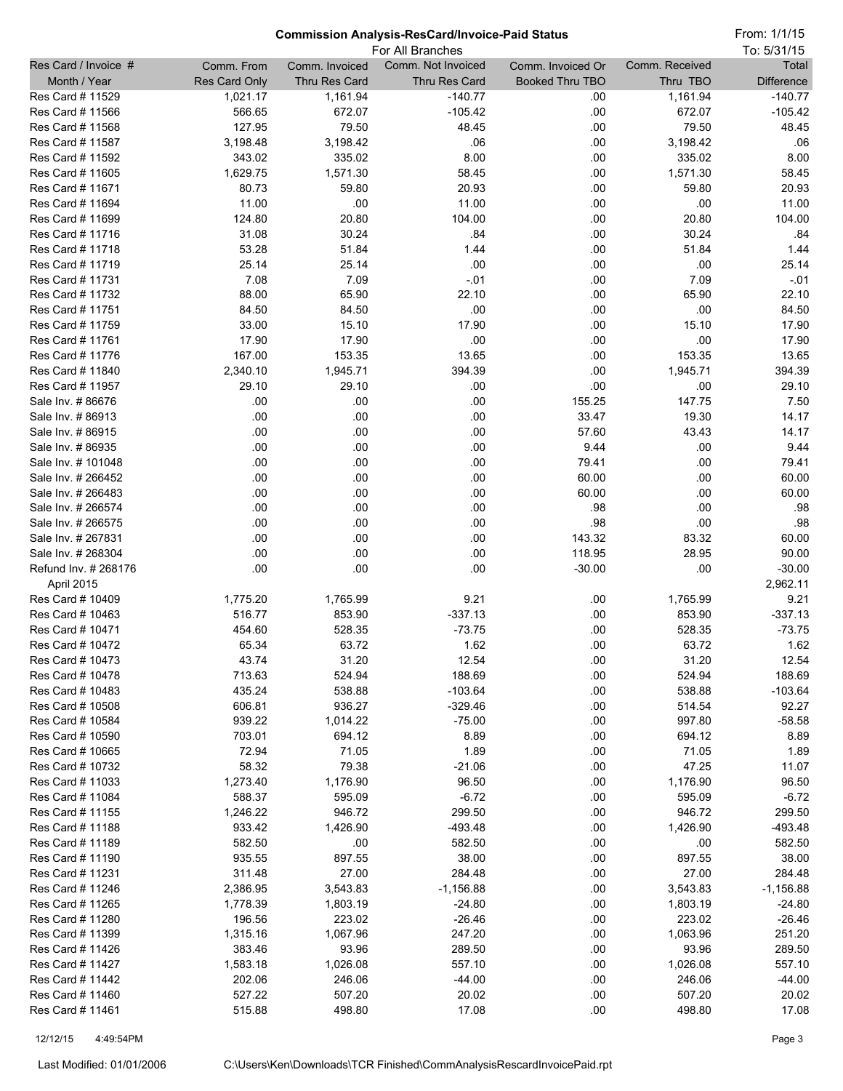From: 1/1/15

|                                      |                      |                    | For All Branches   |                        |                    | To: 5/31/15       |
|--------------------------------------|----------------------|--------------------|--------------------|------------------------|--------------------|-------------------|
| Res Card / Invoice #                 | Comm. From           | Comm. Invoiced     | Comm. Not Invoiced | Comm. Invoiced Or      | Comm. Received     | Total             |
| Month / Year                         | <b>Res Card Only</b> | Thru Res Card      | Thru Res Card      | <b>Booked Thru TBO</b> | Thru TBO           | <b>Difference</b> |
| Res Card # 11529                     | 1,021.17             | 1,161.94           | $-140.77$          | .00                    | 1,161.94           | $-140.77$         |
| Res Card # 11566                     | 566.65               | 672.07             | $-105.42$          | .00                    | 672.07             | $-105.42$         |
| Res Card # 11568                     | 127.95               | 79.50              | 48.45              | .00                    | 79.50              | 48.45             |
| Res Card # 11587                     | 3,198.48             | 3,198.42           | .06                | .00                    | 3,198.42           | .06               |
| Res Card # 11592<br>Res Card # 11605 | 343.02<br>1,629.75   | 335.02<br>1,571.30 | 8.00<br>58.45      | .00                    | 335.02<br>1,571.30 | 8.00<br>58.45     |
| Res Card # 11671                     | 80.73                | 59.80              | 20.93              | .00<br>.00             | 59.80              | 20.93             |
| Res Card # 11694                     | 11.00                | .00                | 11.00              | .00                    | .00                | 11.00             |
| Res Card # 11699                     | 124.80               | 20.80              | 104.00             | .00                    | 20.80              | 104.00            |
| Res Card # 11716                     | 31.08                | 30.24              | .84                | .00                    | 30.24              | .84               |
| Res Card # 11718                     | 53.28                | 51.84              | 1.44               | .00                    | 51.84              | 1.44              |
| Res Card # 11719                     | 25.14                | 25.14              | .00                | .00                    | .00                | 25.14             |
| Res Card # 11731                     | 7.08                 | 7.09               | $-.01$             | .00                    | 7.09               | $-0.01$           |
| Res Card # 11732                     | 88.00                | 65.90              | 22.10              | .00                    | 65.90              | 22.10             |
| Res Card # 11751                     | 84.50                | 84.50              | .00                | .00                    | .00                | 84.50             |
| Res Card # 11759                     | 33.00                | 15.10              | 17.90              | .00                    | 15.10              | 17.90             |
| Res Card # 11761                     | 17.90                | 17.90              | .00                | .00                    | .00                | 17.90             |
| Res Card # 11776                     | 167.00               | 153.35             | 13.65              | .00                    | 153.35             | 13.65             |
| Res Card # 11840                     | 2,340.10             | 1,945.71           | 394.39             | .00                    | 1,945.71           | 394.39            |
| Res Card # 11957                     | 29.10                | 29.10              | .00                | .00                    | .00                | 29.10             |
| Sale Inv. #86676                     | .00                  | .00                | .00                | 155.25                 | 147.75             | 7.50              |
| Sale Inv. #86913                     | .00                  | .00                | .00                | 33.47                  | 19.30              | 14.17             |
| Sale Inv. #86915                     | .00                  | .00                | .00                | 57.60                  | 43.43              | 14.17             |
| Sale Inv. #86935                     | .00                  | .00                | .00                | 9.44                   | .00                | 9.44              |
| Sale Inv. # 101048                   | .00                  | .00                | .00                | 79.41                  | .00                | 79.41             |
| Sale Inv. # 266452                   | .00                  | .00                | .00                | 60.00                  | .00                | 60.00             |
| Sale Inv. # 266483                   | .00                  | .00                | .00                | 60.00                  | .00                | 60.00             |
| Sale Inv. # 266574                   | .00                  | .00                | .00                | .98                    | .00                | .98               |
| Sale Inv. # 266575                   | .00                  | .00                | .00                | .98                    | .00                | .98               |
| Sale Inv. # 267831                   | .00                  | .00                | .00                | 143.32                 | 83.32              | 60.00             |
| Sale Inv. # 268304                   | .00                  | .00                | .00                | 118.95                 | 28.95              | 90.00             |
| Refund Inv. # 268176                 | .00                  | .00                | .00                | $-30.00$               | .00                | $-30.00$          |
| April 2015<br>Res Card # 10409       | 1,775.20             | 1,765.99           | 9.21               | .00                    | 1,765.99           | 2,962.11<br>9.21  |
| Res Card # 10463                     | 516.77               | 853.90             | $-337.13$          | .00                    | 853.90             | $-337.13$         |
| Res Card # 10471                     | 454.60               | 528.35             | $-73.75$           | .00                    | 528.35             | $-73.75$          |
| Res Card # 10472                     | 65.34                | 63.72              | 1.62               | .00                    | 63.72              | 1.62              |
| Res Card # 10473                     | 43.74                | 31.20              | 12.54              | .00                    | 31.20              | 12.54             |
| Res Card # 10478                     | 713.63               | 524.94             | 188.69             | .00                    | 524.94             | 188.69            |
| Res Card # 10483                     | 435.24               | 538.88             | $-103.64$          | .00                    | 538.88             | $-103.64$         |
| Res Card # 10508                     | 606.81               | 936.27             | $-329.46$          | .00                    | 514.54             | 92.27             |
| Res Card # 10584                     | 939.22               | 1,014.22           | $-75.00$           | .00                    | 997.80             | $-58.58$          |
| Res Card # 10590                     | 703.01               | 694.12             | 8.89               | .00                    | 694.12             | 8.89              |
| Res Card # 10665                     | 72.94                | 71.05              | 1.89               | .00                    | 71.05              | 1.89              |
| Res Card # 10732                     | 58.32                | 79.38              | $-21.06$           | .00                    | 47.25              | 11.07             |
| Res Card # 11033                     | 1,273.40             | 1,176.90           | 96.50              | .00                    | 1,176.90           | 96.50             |
| Res Card # 11084                     | 588.37               | 595.09             | $-6.72$            | .00                    | 595.09             | $-6.72$           |
| Res Card # 11155                     | 1,246.22             | 946.72             | 299.50             | .00                    | 946.72             | 299.50            |
| Res Card # 11188                     | 933.42               | 1,426.90           | $-493.48$          | .00                    | 1,426.90           | $-493.48$         |
| Res Card # 11189                     | 582.50               | .00                | 582.50             | .00                    | .00                | 582.50            |
| Res Card # 11190                     | 935.55               | 897.55             | 38.00              | .00                    | 897.55             | 38.00             |
| Res Card # 11231                     | 311.48               | 27.00              | 284.48             | .00                    | 27.00              | 284.48            |
| Res Card # 11246                     | 2,386.95             | 3,543.83           | $-1,156.88$        | .00                    | 3,543.83           | $-1,156.88$       |
| Res Card # 11265                     | 1,778.39             | 1,803.19           | $-24.80$           | .00                    | 1,803.19           | $-24.80$          |
| Res Card # 11280                     | 196.56               | 223.02             | $-26.46$           | .00                    | 223.02             | $-26.46$          |
| Res Card # 11399                     | 1,315.16             | 1,067.96           | 247.20             | .00                    | 1,063.96           | 251.20            |
| Res Card # 11426                     | 383.46               | 93.96              | 289.50             | .00                    | 93.96              | 289.50            |
| Res Card # 11427                     | 1,583.18             | 1,026.08           | 557.10             | .00                    | 1,026.08           | 557.10            |
| Res Card # 11442<br>Res Card # 11460 | 202.06               | 246.06             | $-44.00$           | .00                    | 246.06             | $-44.00$          |
| Res Card # 11461                     | 527.22<br>515.88     | 507.20<br>498.80   | 20.02<br>17.08     | .00<br>.00             | 507.20<br>498.80   | 20.02<br>17.08    |
|                                      |                      |                    |                    |                        |                    |                   |

12/12/15 4:49:54PM Page 3